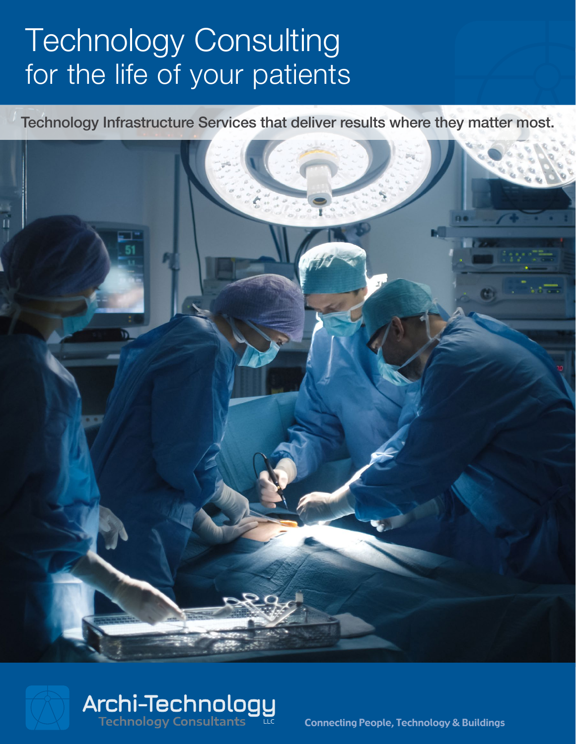# Technology Consulting for the life of your patients

Technology Infrastructure Services that deliver results where they matter most.





Connecting People, Technology & Buildings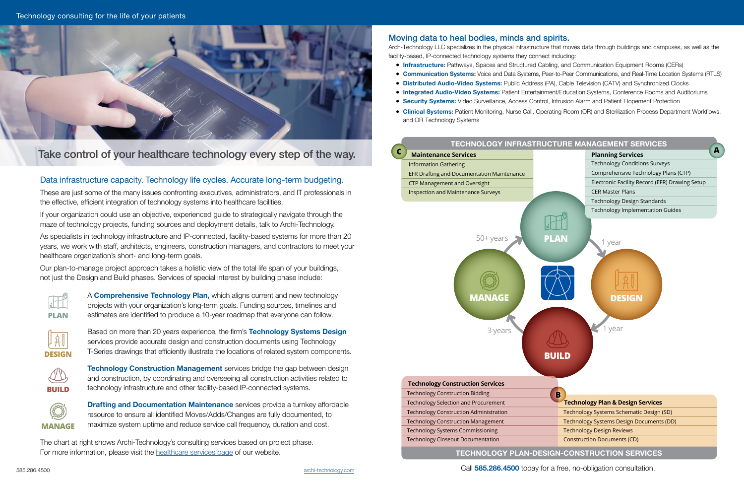Technology consulting for the life of your patients



585.286.4500 [archi-technology.com](https://www.archi-technology.com/) Call **585.286.4500** today for a free, no-obligation consultation.

### Moving data to heal bodies, minds and spirits.

Arch-Technology LLC specializes in the physical infrastructure that moves data through buildings and campuses, as well as the

facility-based, IP-connected technology systems they connect including:

- **Infrastructure:** Pathways, Spaces and Structured Cabling, and Communication Equipment Rooms (CERs)
- **Communication Systems:** Voice and Data Systems, Peer-to-Peer Communications, and Real-Time Location Systems (RTLS)
- **Distributed Audio-Video Systems:** Public Address (PA), Cable Television (CATV) and Synchronized Clocks
- **Integrated Audio-Video Systems:** Patient Entertainment/Education Systems, Conference Rooms and Auditoriums
- **Security Systems:** Video Surveillance, Access Control, Intrusion Alarm and Patient Elopement Protection
- **Clinical Systems:** Patient Monitoring, Nurse Call, Operating Room (OR) and Sterilization Process Department Workflows, and OR Technology Systems

### Data infrastructure capacity. Technology life cycles. Accurate long-term budgeting.

These are just some of the many issues confronting executives, administrators, and IT professionals in the effective, efficient integration of technology systems into healthcare facilities.

If your organization could use an objective, experienced guide to strategically navigate through the maze of technology projects, funding sources and deployment details, talk to Archi-Technology.

> **Drafting and Documentation Maintenance** services provide a turnkey affordable resource to ensure all identified Moves/Adds/Changes are fully documented, to maximize system uptime and reduce service call frequency, duration and cost.

As specialists in technology infrastructure and IP-connected, facility-based systems for more than 20 years, we work with staff, architects, engineers, construction managers, and contractors to meet your healthcare organization's short- and long-term goals.

Our plan-to-manage project approach takes a holistic view of the total life span of your buildings, not just the Design and Build phases. Services of special interest by building phase include:

## Take control of your healthcare technology every step of the way.









A **Comprehensive Technology Plan,** which aligns current and new technology projects with your organization's long-term goals. Funding sources, timelines and estimates are identified to produce a 10-year roadmap that everyone can follow.

Based on more than 20 years experience, the firm's **Technology Systems Design** services provide accurate design and construction documents using Technology T-Series drawings that efficiently illustrate the locations of related system components.

**Technology Construction Management** services bridge the gap between design and construction, by coordinating and overseeing all construction activities related to technology infrastructure and other facility-based IP-connected systems.

The chart at right shows Archi-Technology's consulting services based on project phase. For more information, please visit the [healthcare services page](https://www.archi-technology.com/healthcare.html) of our website.



| <b>Technology Construction Services</b>       |
|-----------------------------------------------|
| <b>Technology Construction Bidding</b>        |
| <b>Technology Selection and Procurement</b>   |
| <b>Technology Construction Administration</b> |
| <b>Technology Construction Management</b>     |
| <b>Technology Systems Commissioning</b>       |
| <b>Technology Closeout Documentation</b>      |
| <b>TECHNOLOGY PLAN-DES</b>                    |